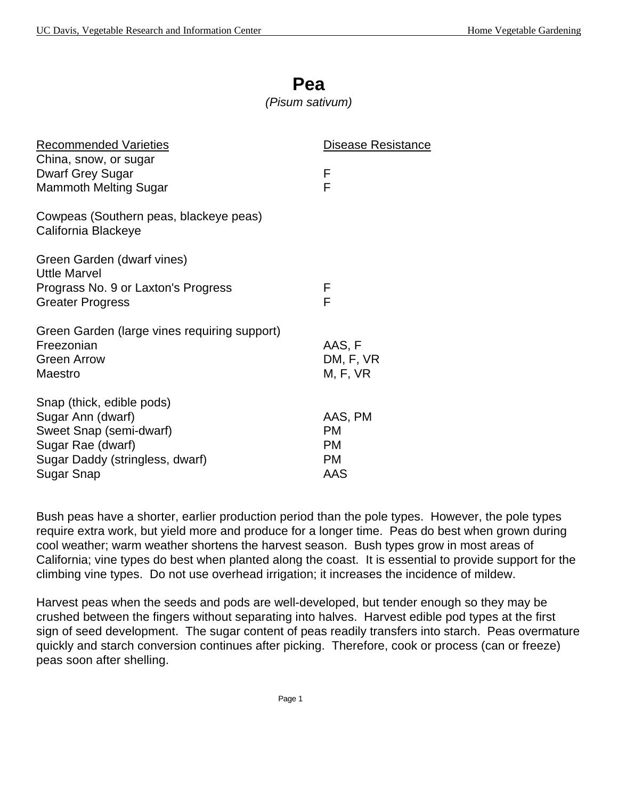*(Pisum sativum)*

| <b>Recommended Varieties</b>                                                     | Disease Resistance     |
|----------------------------------------------------------------------------------|------------------------|
| China, snow, or sugar<br><b>Dwarf Grey Sugar</b>                                 | F                      |
| <b>Mammoth Melting Sugar</b>                                                     | F                      |
| Cowpeas (Southern peas, blackeye peas)<br>California Blackeye                    |                        |
| Green Garden (dwarf vines)<br><b>Uttle Marvel</b>                                |                        |
| Prograss No. 9 or Laxton's Progress<br><b>Greater Progress</b>                   | F<br>F                 |
| Green Garden (large vines requiring support)<br>Freezonian<br><b>Green Arrow</b> | AAS, F<br>DM, F, VR    |
| Maestro                                                                          | M, F, VR               |
| Snap (thick, edible pods)<br>Sugar Ann (dwarf)<br>Sweet Snap (semi-dwarf)        | AAS, PM<br><b>PM</b>   |
| Sugar Rae (dwarf)<br>Sugar Daddy (stringless, dwarf)                             | <b>PM</b><br><b>PM</b> |
| Sugar Snap                                                                       | AAS                    |

Bush peas have a shorter, earlier production period than the pole types. However, the pole types require extra work, but yield more and produce for a longer time. Peas do best when grown during cool weather; warm weather shortens the harvest season. Bush types grow in most areas of California; vine types do best when planted along the coast. It is essential to provide support for the climbing vine types. Do not use overhead irrigation; it increases the incidence of mildew.

Harvest peas when the seeds and pods are well-developed, but tender enough so they may be crushed between the fingers without separating into halves. Harvest edible pod types at the first sign of seed development. The sugar content of peas readily transfers into starch. Peas overmature quickly and starch conversion continues after picking. Therefore, cook or process (can or freeze) peas soon after shelling.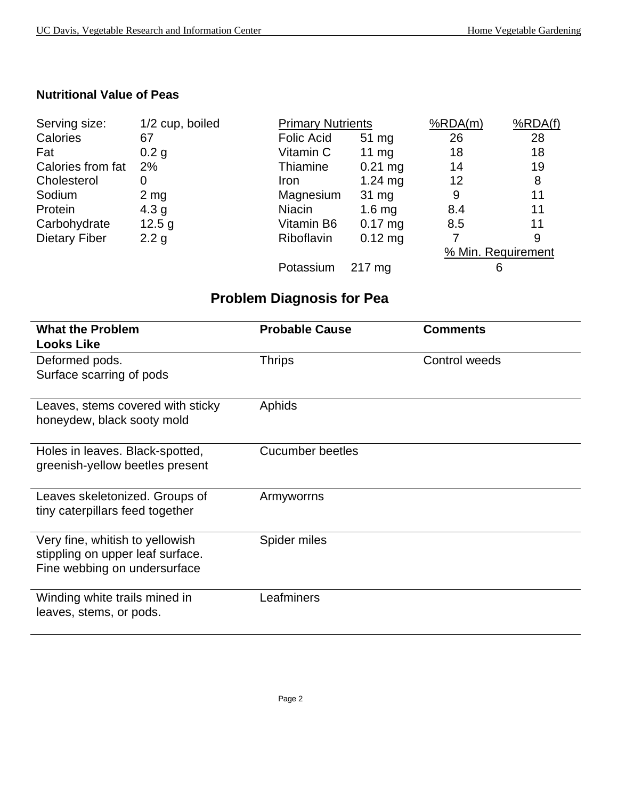## **Nutritional Value of Peas**

| Serving size:        | 1/2 cup, boiled  | <b>Primary Nutrients</b> |                   | %RDA(m) | %RDA(f)            |
|----------------------|------------------|--------------------------|-------------------|---------|--------------------|
| Calories             | 67               | <b>Folic Acid</b>        | $51 \text{ mg}$   | 26      | 28                 |
| Fat                  | 0.2 <sub>g</sub> | Vitamin C                | $11 \text{ mg}$   | 18      | 18                 |
| Calories from fat    | 2%               | Thiamine                 | $0.21$ mg         | 14      | 19                 |
| Cholesterol          | 0                | Iron                     | $1.24 \text{ mg}$ | 12      | 8                  |
| Sodium               | $2 \, mg$        | Magnesium                | 31 mg             | 9       | 11                 |
| Protein              | 4.3 <sub>g</sub> | <b>Niacin</b>            | 1.6 <sub>mg</sub> | 8.4     | 11                 |
| Carbohydrate         | 12.5 g           | Vitamin B6               | $0.17$ mg         | 8.5     | 11                 |
| <b>Dietary Fiber</b> | 2.2 g            | <b>Riboflavin</b>        | $0.12$ mg         |         | 9                  |
|                      |                  |                          |                   |         | % Min. Requirement |
|                      |                  | Potassium                | $217 \text{ mg}$  |         | 6                  |

## **Problem Diagnosis for Pea**

| <b>What the Problem</b><br><b>Looks Like</b>                                                        | <b>Probable Cause</b> | <b>Comments</b> |
|-----------------------------------------------------------------------------------------------------|-----------------------|-----------------|
| Deformed pods.<br>Surface scarring of pods                                                          | <b>Thrips</b>         | Control weeds   |
| Leaves, stems covered with sticky<br>honeydew, black sooty mold                                     | Aphids                |                 |
| Holes in leaves. Black-spotted,<br>greenish-yellow beetles present                                  | Cucumber beetles      |                 |
| Leaves skeletonized. Groups of<br>tiny caterpillars feed together                                   | Armyworrns            |                 |
| Very fine, whitish to yellowish<br>stippling on upper leaf surface.<br>Fine webbing on undersurface | Spider miles          |                 |
| Winding white trails mined in<br>leaves, stems, or pods.                                            | Leafminers            |                 |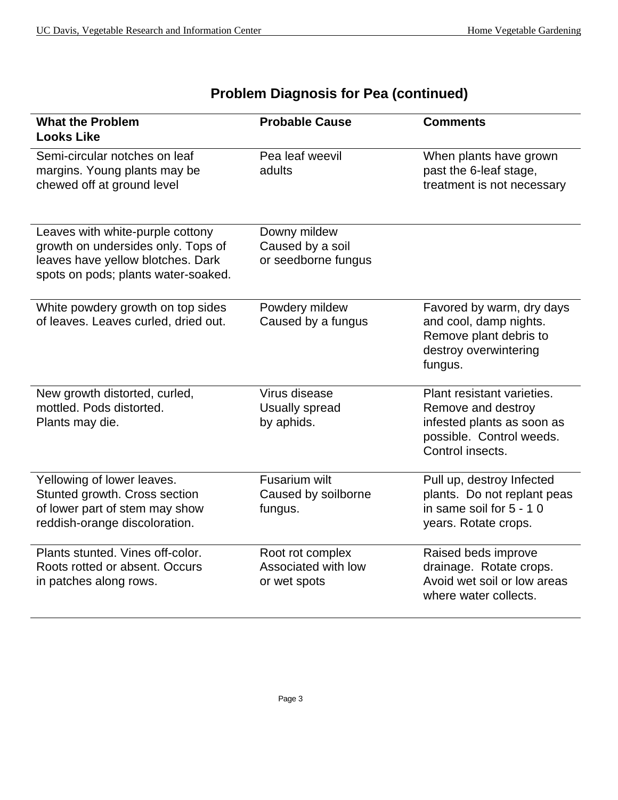| <b>What the Problem</b><br><b>Looks Like</b>                                                                                                       | <b>Probable Cause</b>                                   | <b>Comments</b>                                                                                                                |
|----------------------------------------------------------------------------------------------------------------------------------------------------|---------------------------------------------------------|--------------------------------------------------------------------------------------------------------------------------------|
| Semi-circular notches on leaf<br>margins. Young plants may be<br>chewed off at ground level                                                        | Pea leaf weevil<br>adults                               | When plants have grown<br>past the 6-leaf stage,<br>treatment is not necessary                                                 |
| Leaves with white-purple cottony<br>growth on undersides only. Tops of<br>leaves have yellow blotches. Dark<br>spots on pods; plants water-soaked. | Downy mildew<br>Caused by a soil<br>or seedborne fungus |                                                                                                                                |
| White powdery growth on top sides<br>of leaves. Leaves curled, dried out.                                                                          | Powdery mildew<br>Caused by a fungus                    | Favored by warm, dry days<br>and cool, damp nights.<br>Remove plant debris to<br>destroy overwintering<br>fungus.              |
| New growth distorted, curled,<br>mottled. Pods distorted.<br>Plants may die.                                                                       | Virus disease<br>Usually spread<br>by aphids.           | Plant resistant varieties.<br>Remove and destroy<br>infested plants as soon as<br>possible. Control weeds.<br>Control insects. |
| Yellowing of lower leaves.<br>Stunted growth. Cross section<br>of lower part of stem may show<br>reddish-orange discoloration.                     | <b>Fusarium wilt</b><br>Caused by soilborne<br>fungus.  | Pull up, destroy Infected<br>plants. Do not replant peas<br>in same soil for 5 - 10<br>years. Rotate crops.                    |
| Plants stunted. Vines off-color.<br>Roots rotted or absent. Occurs<br>in patches along rows.                                                       | Root rot complex<br>Associated with low<br>or wet spots | Raised beds improve<br>drainage. Rotate crops.<br>Avoid wet soil or low areas<br>where water collects.                         |

## **Problem Diagnosis for Pea (continued)**